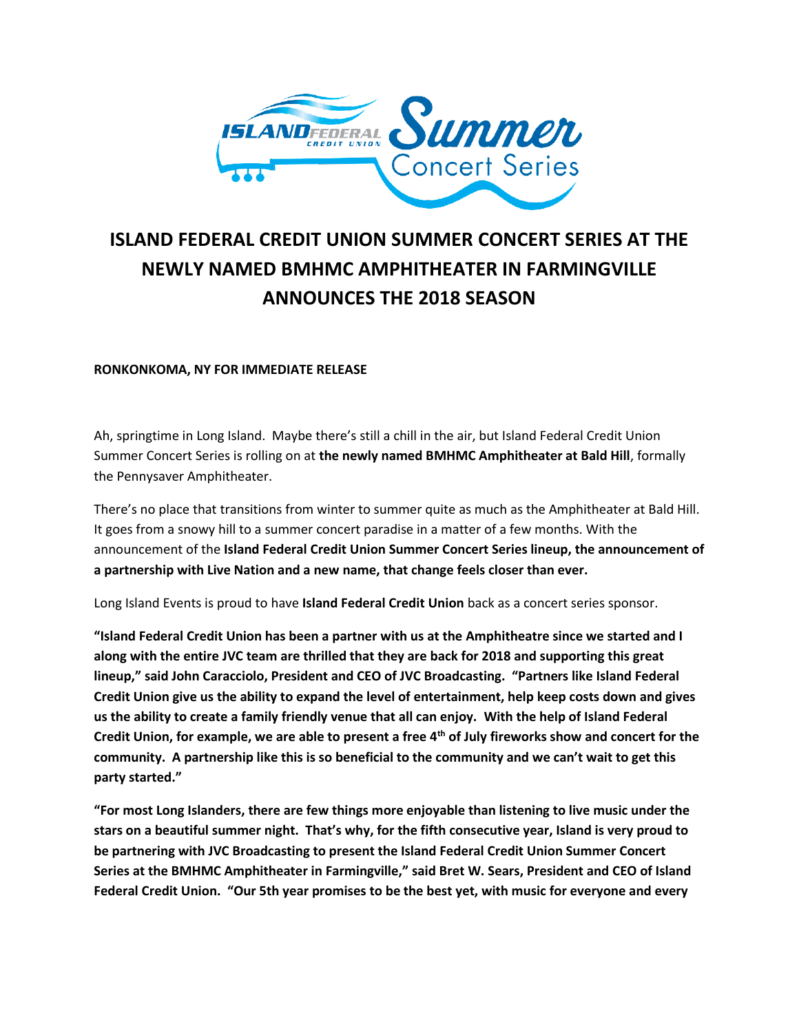

## **ISLAND FEDERAL CREDIT UNION SUMMER CONCERT SERIES AT THE NEWLY NAMED BMHMC AMPHITHEATER IN FARMINGVILLE ANNOUNCES THE 2018 SEASON**

## **RONKONKOMA, NY FOR IMMEDIATE RELEASE**

Ah, springtime in Long Island. Maybe there's still a chill in the air, but Island Federal Credit Union Summer Concert Series is rolling on at **the newly named BMHMC Amphitheater at Bald Hill**, formally the Pennysaver Amphitheater.

There's no place that transitions from winter to summer quite as much as the Amphitheater at Bald Hill. It goes from a snowy hill to a summer concert paradise in a matter of a few months. With the announcement of the **Island Federal Credit Union Summer Concert Series lineup, the announcement of a partnership with Live Nation and a new name, that change feels closer than ever.**

Long Island Events is proud to have **Island Federal Credit Union** back as a concert series sponsor.

**"Island Federal Credit Union has been a partner with us at the Amphitheatre since we started and I along with the entire JVC team are thrilled that they are back for 2018 and supporting this great lineup," said John Caracciolo, President and CEO of JVC Broadcasting. "Partners like Island Federal Credit Union give us the ability to expand the level of entertainment, help keep costs down and gives us the ability to create a family friendly venue that all can enjoy. With the help of Island Federal Credit Union, for example, we are able to present a free 4th of July fireworks show and concert for the community. A partnership like this is so beneficial to the community and we can't wait to get this party started."**

**"For most Long Islanders, there are few things more enjoyable than listening to live music under the stars on a beautiful summer night. That's why, for the fifth consecutive year, Island is very proud to be partnering with JVC Broadcasting to present the Island Federal Credit Union Summer Concert Series at the BMHMC Amphitheater in Farmingville," said Bret W. Sears, President and CEO of Island Federal Credit Union. "Our 5th year promises to be the best yet, with music for everyone and every**